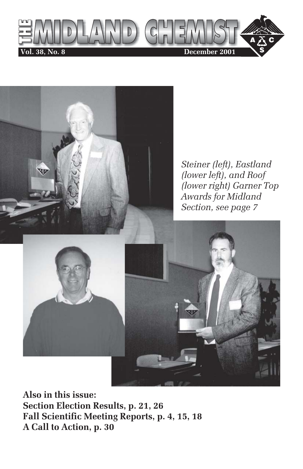



**Also in this issue: Section Election Results, p. 21, 26 Fall Scientific Meeting Reports, p. 4, 15, 18 A Call to Action, p. 30**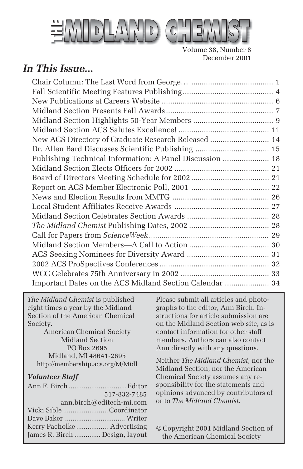

Volume 38, Number 8 December 2001

### *In This Issue...*

| New ACS Directory of Graduate Research Released  14      |  |
|----------------------------------------------------------|--|
|                                                          |  |
| Publishing Technical Information: A Panel Discussion  18 |  |
|                                                          |  |
|                                                          |  |
|                                                          |  |
|                                                          |  |
|                                                          |  |
|                                                          |  |
|                                                          |  |
|                                                          |  |
|                                                          |  |
|                                                          |  |
|                                                          |  |
|                                                          |  |
| Important Dates on the ACS Midland Section Calendar  34  |  |
|                                                          |  |

*The Midland Chemist* is published eight times a year by the Midland Section of the American Chemical Society.

American Chemical Society Midland Section PO Box 2695 Midland, MI 48641-2695 http://membership.acs.org/M/Midl

#### *Volunteer Staff*

| 517-832-7485                   |
|--------------------------------|
| ann.birch@editech-mi.com       |
| Vicki Sible Coordinator        |
|                                |
| Kerry Pacholke  Advertising    |
| James R. Birch  Design, layout |
|                                |

Please submit all articles and photographs to the editor, Ann Birch. Instructions for article submission are on the Midland Section web site, as is contact information for other staff members. Authors can also contact Ann directly with any questions.

Neither *The Midland Chemist*, nor the Midland Section, nor the American Chemical Society assumes any responsibility for the statements and opinions advanced by contributors of or to *The Midland Chemist*.

© Copyright 2001 Midland Section of the American Chemical Society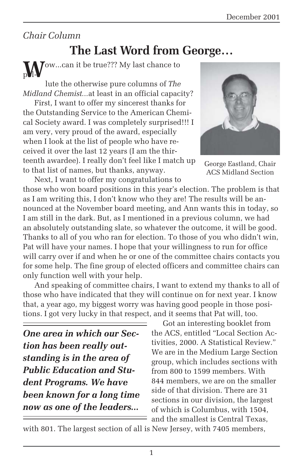#### *Chair Column*

### **The Last Word from George…**

**J**ow...can it be true??? My last chance to  $\rm p$ Vl-

lute the otherwise pure columns of *The Midland Chemist...*at least in an official capacity?

First, I want to offer my sincerest thanks for the Outstanding Service to the American Chemical Society award. I was completely surprised!!! I am very, very proud of the award, especially when I look at the list of people who have received it over the last 12 years (I am the thirteenth awardee). I really don't feel like I match up to that list of names, but thanks, anyway.



George Eastland, Chair ACS Midland Section

Next, I want to offer my congratulations to those who won board positions in this year's election. The problem is that as I am writing this, I don't know who they are! The results will be announced at the November board meeting, and Ann wants this in today, so I am still in the dark. But, as I mentioned in a previous column, we had an absolutely outstanding slate, so whatever the outcome, it will be good. Thanks to all of you who ran for election. To those of you who didn't win, Pat will have your names. I hope that your willingness to run for office will carry over if and when he or one of the committee chairs contacts you for some help. The fine group of elected officers and committee chairs can only function well with your help.

And speaking of committee chairs, I want to extend my thanks to all of those who have indicated that they will continue on for next year. I know that, a year ago, my biggest worry was having good people in those positions. I got very lucky in that respect, and it seems that Pat will, too.

*One area in which our Section has been really outstanding is in the area of Public Education and Student Programs. We have been known for a long time now as one of the leaders...*

Got an interesting booklet from the ACS, entitled "Local Section Activities, 2000. A Statistical Review." We are in the Medium Large Section group, which includes sections with from 800 to 1599 members. With 844 members, we are on the smaller side of that division. There are 31 sections in our division, the largest of which is Columbus, with 1504, and the smallest is Central Texas,

with 801. The largest section of all is New Jersey, with 7405 members,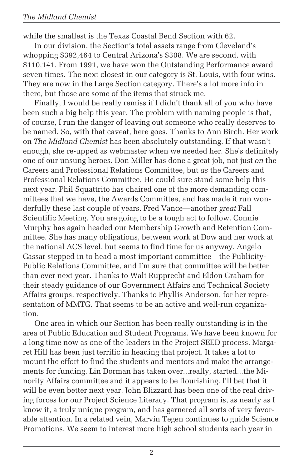while the smallest is the Texas Coastal Bend Section with 62.

In our division, the Section's total assets range from Cleveland's whopping \$392,464 to Central Arizona's \$308. We are second, with \$110,141. From 1991, we have won the Outstanding Performance award seven times. The next closest in our category is St. Louis, with four wins. They are now in the Large Section category. There's a lot more info in there, but those are some of the items that struck me.

Finally, I would be really remiss if I didn't thank all of you who have been such a big help this year. The problem with naming people is that, of course, I run the danger of leaving out someone who really deserves to be named. So, with that caveat, here goes. Thanks to Ann Birch. Her work on *The Midland Chemist* has been absolutely outstanding. If that wasn't enough, she re-upped as webmaster when we needed her. She's definitely one of our unsung heroes. Don Miller has done a great job, not just *on* the Careers and Professional Relations Committee, but *as* the Careers and Professional Relations Committee. He could sure stand some help this next year. Phil Squattrito has chaired one of the more demanding committees that we have, the Awards Committee, and has made it run wonderfully these last couple of years. Fred Vance—another *great* Fall Scientific Meeting. You are going to be a tough act to follow. Connie Murphy has again headed our Membership Growth and Retention Committee. She has many obligations, between work at Dow and her work at the national ACS level, but seems to find time for us anyway. Angelo Cassar stepped in to head a most important committee—the Publicity-Public Relations Committee, and I'm sure that committee will be better than ever next year. Thanks to Walt Rupprecht and Eldon Graham for their steady guidance of our Government Affairs and Technical Society Affairs groups, respectively. Thanks to Phyllis Anderson, for her representation of MMTG. That seems to be an active and well-run organization.

One area in which our Section has been really outstanding is in the area of Public Education and Student Programs. We have been known for a long time now as one of the leaders in the Project SEED process. Margaret Hill has been just terrific in heading that project. It takes a lot to mount the effort to find the students and mentors and make the arrangements for funding. Lin Dorman has taken over...really, started...the Minority Affairs committee and it appears to be flourishing. I'll bet that it will be even better next year. John Blizzard has been one of the real driving forces for our Project Science Literacy. That program is, as nearly as I know it, a truly unique program, and has garnered all sorts of very favorable attention. In a related vein, Marvin Tegen continues to guide Science Promotions. We seem to interest more high school students each year in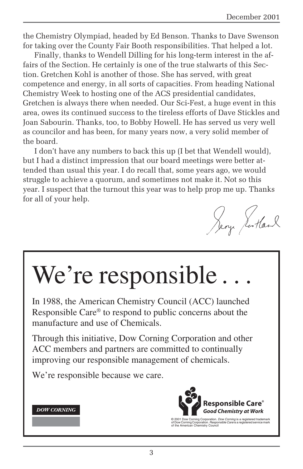the Chemistry Olympiad, headed by Ed Benson. Thanks to Dave Swenson for taking over the County Fair Booth responsibilities. That helped a lot.

Finally, thanks to Wendell Dilling for his long-term interest in the affairs of the Section. He certainly is one of the true stalwarts of this Section. Gretchen Kohl is another of those. She has served, with great competence and energy, in all sorts of capacities. From heading National Chemistry Week to hosting one of the ACS presidential candidates, Gretchen is always there when needed. Our Sci-Fest, a huge event in this area, owes its continued success to the tireless efforts of Dave Stickles and Joan Sabourin. Thanks, too, to Bobby Howell. He has served us very well as councilor and has been, for many years now, a very solid member of the board.

I don't have any numbers to back this up (I bet that Wendell would), but I had a distinct impression that our board meetings were better attended than usual this year. I do recall that, some years ago, we would struggle to achieve a quorum, and sometimes not make it. Not so this year. I suspect that the turnout this year was to help prop me up. Thanks for all of your help.

Jeoze Scotland

# We're responsible.

In 1988, the American Chemistry Council (ACC) launched Responsible Care® to respond to public concerns about the manufacture and use of Chemicals.

Through this initiative, Dow Corning Corporation and other ACC members and partners are committed to continually improving our responsible management of chemicals.

We're responsible because we care.





© 2001 Dow Corning Corporation. *Dow Corning* is a registered trademark<br>of Dow Corning Corporation. *Responsible Care* is a registered service mark<br>of the American Chemistry Council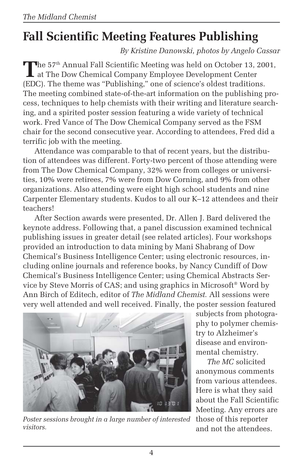# **Fall Scientific Meeting Features Publishing**

*By Kristine Danowski, photos by Angelo Cassar*

The 57<sup>th</sup> Annual Fall Scientific Meeting was held on October 13, 2001, at The Dow Chemical Company Employee Development Center (EDC). The theme was "Publishing," one of science's oldest traditions. The meeting combined state-of-the-art information on the publishing process, techniques to help chemists with their writing and literature searching, and a spirited poster session featuring a wide variety of technical work. Fred Vance of The Dow Chemical Company served as the FSM chair for the second consecutive year. According to attendees, Fred did a terrific job with the meeting.

Attendance was comparable to that of recent years, but the distribution of attendees was different. Forty-two percent of those attending were from The Dow Chemical Company, 32% were from colleges or universities, 10% were retirees, 7% were from Dow Corning, and 9% from other organizations. Also attending were eight high school students and nine Carpenter Elementary students. Kudos to all our K–12 attendees and their teachers!

After Section awards were presented, Dr. Allen J. Bard delivered the keynote address. Following that, a panel discussion examined technical publishing issues in greater detail (see related articles). Four workshops provided an introduction to data mining by Mani Shabrang of Dow Chemical's Business Intelligence Center; using electronic resources, including online journals and reference books, by Nancy Cundiff of Dow Chemical's Business Intelligence Center; using Chemical Abstracts Service by Steve Morris of CAS; and using graphics in Microsoft® Word by Ann Birch of Editech, editor of *The Midland Chemist.* All sessions were very well attended and well received. Finally, the poster session featured



*Poster sessions brought in a large number of interested visitors.*

subjects from photography to polymer chemistry to Alzheimer's disease and environmental chemistry.

*The MC* solicited anonymous comments from various attendees. Here is what they said about the Fall Scientific Meeting. Any errors are those of this reporter and not the attendees.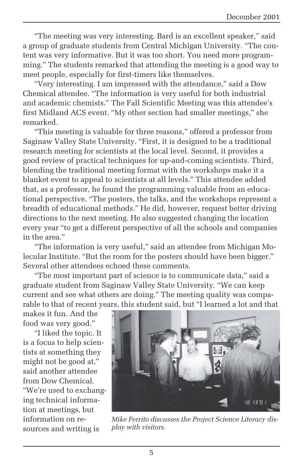"The meeting was very interesting. Bard is an excellent speaker," said a group of graduate students from Central Michigan University. "The content was very informative. But it was too short. You need more programming." The students remarked that attending the meeting is a good way to meet people, especially for first-timers like themselves.

"Very interesting. I am impressed with the attendance," said a Dow Chemical attendee. "The information is very useful for both industrial and academic chemists." The Fall Scientific Meeting was this attendee's first Midland ACS event. "My other section had smaller meetings," she remarked.

"This meeting is valuable for three reasons," offered a professor from Saginaw Valley State University. "First, it is designed to be a traditional research meeting for scientists at the local level. Second, it provides a good review of practical techniques for up-and-coming scientists. Third, blending the traditional meeting format with the workshops make it a blanket event to appeal to scientists at all levels." This attendee added that, as a professor, he found the programming valuable from an educational perspective. "The posters, the talks, and the workshops represent a breadth of educational methods." He did, however, request better driving directions to the next meeting. He also suggested changing the location every year "to get a different perspective of all the schools and companies in the area."

"The information is very useful," said an attendee from Michigan Molecular Institute. "But the room for the posters should have been bigger." Several other attendees echoed these comments.

"The most important part of science is to communicate data," said a graduate student from Saginaw Valley State University*.* "We can keep current and see what others are doing." The meeting quality was comparable to that of recent years, this student said, but "I learned a lot and that

makes it fun. And the food was very good."

"I liked the topic. It is a focus to help scientists at something they might not be good at," said another attendee from Dow Chemical. "We're used to exchanging technical information at meetings, but information on resources and writing is



*Mike Ferrito discusses the Project Science Literacy display with visitors.*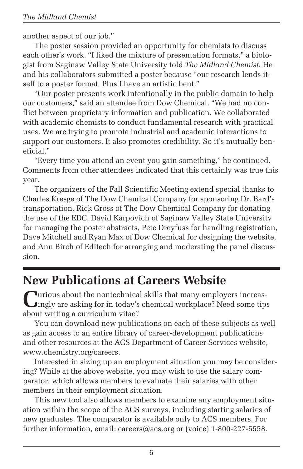another aspect of our job."

The poster session provided an opportunity for chemists to discuss each other's work. "I liked the mixture of presentation formats," a biologist from Saginaw Valley State University told *The Midland Chemist.* He and his collaborators submitted a poster because "our research lends itself to a poster format. Plus I have an artistic bent."

"Our poster presents work intentionally in the public domain to help our customers," said an attendee from Dow Chemical. "We had no conflict between proprietary information and publication. We collaborated with academic chemists to conduct fundamental research with practical uses. We are trying to promote industrial and academic interactions to support our customers. It also promotes credibility. So it's mutually beneficial."

"Every time you attend an event you gain something," he continued. Comments from other attendees indicated that this certainly was true this year.

The organizers of the Fall Scientific Meeting extend special thanks to Charles Kresge of The Dow Chemical Company for sponsoring Dr. Bard's transportation, Rick Gross of The Dow Chemical Company for donating the use of the EDC, David Karpovich of Saginaw Valley State University for managing the poster abstracts, Pete Dreyfuss for handling registration, Dave Mitchell and Ryan Max of Dow Chemical for designing the website, and Ann Birch of Editech for arranging and moderating the panel discussion.

### **New Publications at Careers Website**

**C**urious about the nontechnical skills that many employers increas-ingly are asking for in today's chemical workplace? Need some tips about writing a curriculum vitae?

You can download new publications on each of these subjects as well as gain access to an entire library of career-development publications and other resources at the ACS Department of Career Services website, www.chemistry.org/careers.

Interested in sizing up an employment situation you may be considering? While at the above website, you may wish to use the salary comparator, which allows members to evaluate their salaries with other members in their employment situation.

This new tool also allows members to examine any employment situation within the scope of the ACS surveys, including starting salaries of new graduates. The comparator is available only to ACS members. For further information, email: careers@acs.org or (voice) 1-800-227-5558.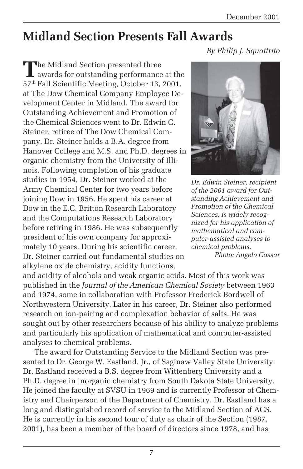### **Midland Section Presents Fall Awards**

*By Philip J. Squattrito*

**T**he Midland Section presented three awards for outstanding performance at the 57th Fall Scientific Meeting, October 13, 2001, at The Dow Chemical Company Employee Development Center in Midland. The award for Outstanding Achievement and Promotion of the Chemical Sciences went to Dr. Edwin C. Steiner, retiree of The Dow Chemical Company. Dr. Steiner holds a B.A. degree from Hanover College and M.S. and Ph.D. degrees in organic chemistry from the University of Illinois. Following completion of his graduate studies in 1954, Dr. Steiner worked at the Army Chemical Center for two years before joining Dow in 1956. He spent his career at Dow in the E.C. Britton Research Laboratory and the Computations Research Laboratory before retiring in 1986. He was subsequently president of his own company for approximately 10 years. During his scientific career, Dr. Steiner carried out fundamental studies on alkylene oxide chemistry, acidity functions,

and acidity of alcohols and weak organic acids. Most of this work was published in the *Journal of the American Chemical Society* between 1963 and 1974, some in collaboration with Professor Frederick Bordwell of Northwestern University. Later in his career, Dr. Steiner also performed research on ion-pairing and complexation behavior of salts. He was sought out by other researchers because of his ability to analyze problems and particularly his application of mathematical and computer-assisted analyses to chemical problems.

The award for Outstanding Service to the Midland Section was presented to Dr. George W. Eastland, Jr., of Saginaw Valley State University. Dr. Eastland received a B.S. degree from Wittenberg University and a Ph.D. degree in inorganic chemistry from South Dakota State University. He joined the faculty at SVSU in 1969 and is currently Professor of Chemistry and Chairperson of the Department of Chemistry. Dr. Eastland has a long and distinguished record of service to the Midland Section of ACS. He is currently in his second tour of duty as chair of the Section (1987, 2001), has been a member of the board of directors since 1978, and has



*Dr. Edwin Steiner, recipient of the 2001 award for Outstanding Achievement and Promotion of the Chemical Sciences, is widely recognized for his application of mathematical and computer-assisted analyses to chemical problems. Photo: Angelo Cassar*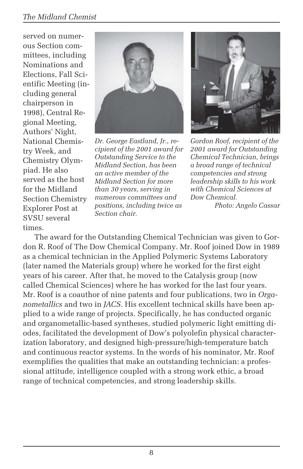#### *The Midland Chemist*

served on numerous Section committees, including Nominations and Elections, Fall Scientific Meeting (including general chairperson in 1998), Central Regional Meeting, Authors' Night, National Chemistry Week, and Chemistry Olympiad. He also served as the host for the Midland Section Chemistry Explorer Post at SVSU several times.



*Dr. George Eastland, Jr., recipient of the 2001 award for Outstanding Service to the Midland Section, has been an active member of the Midland Section for more than 30 years, serving in numerous committees and positions, including twice as Section chair.*



*Gordon Roof, recipient of the 2001 award for Outstanding Chemical Technician, brings a broad range of technical competencies and strong leadership skills to his work with Chemical Sciences at Dow Chemical.*

*Photo: Angelo Cassar*

The award for the Outstanding Chemical Technician was given to Gordon R. Roof of The Dow Chemical Company. Mr. Roof joined Dow in 1989 as a chemical technician in the Applied Polymeric Systems Laboratory (later named the Materials group) where he worked for the first eight years of his career. After that, he moved to the Catalysis group (now called Chemical Sciences) where he has worked for the last four years. Mr. Roof is a coauthor of nine patents and four publications, two in *Organometallics* and two in *JACS*. His excellent technical skills have been applied to a wide range of projects. Specifically, he has conducted organic and organometallic-based syntheses, studied polymeric light emitting diodes, facilitated the development of Dow's polyolefin physical characterization laboratory, and designed high-pressure/high-temperature batch and continuous reactor systems. In the words of his nominator, Mr. Roof exemplifies the qualities that make an outstanding technician: a professional attitude, intelligence coupled with a strong work ethic, a broad range of technical competencies, and strong leadership skills.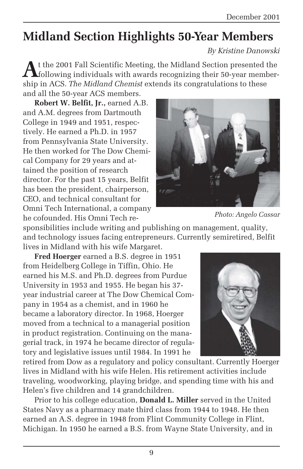# **Midland Section Highlights 50-Year Members**

*By Kristine Danowski*

**A**t the 2001 Fall Scientific Meeting, the Midland Section presented the following individuals with awards recognizing their 50-year membership in ACS. *The Midland Chemist* extends its congratulations to these and all the 50-year ACS members.

**Robert W. Belfit, Jr.,** earned A.B. and A.M. degrees from Dartmouth College in 1949 and 1951, respectively. He earned a Ph.D. in 1957 from Pennsylvania State University. He then worked for The Dow Chemical Company for 29 years and attained the position of research director. For the past 15 years, Belfit has been the president, chairperson, CEO, and technical consultant for Omni Tech International, a company he cofounded. His Omni Tech re-



*Photo: Angelo Cassar*

sponsibilities include writing and publishing on management, quality, and technology issues facing entrepreneurs. Currently semiretired, Belfit lives in Midland with his wife Margaret.

**Fred Hoerger** earned a B.S. degree in 1951 from Heidelberg College in Tiffin, Ohio. He earned his M.S. and Ph.D. degrees from Purdue University in 1953 and 1955. He began his 37 year industrial career at The Dow Chemical Company in 1954 as a chemist, and in 1960 he became a laboratory director. In 1968, Hoerger moved from a technical to a managerial position in product registration. Continuing on the managerial track, in 1974 he became director of regulatory and legislative issues until 1984. In 1991 he

retired from Dow as a regulatory and policy consultant. Currently Hoerger lives in Midland with his wife Helen. His retirement activities include traveling, woodworking, playing bridge, and spending time with his and Helen's five children and 14 grandchildren.

Prior to his college education, **Donald L. Miller** served in the United States Navy as a pharmacy mate third class from 1944 to 1948. He then earned an A.S. degree in 1948 from Flint Community College in Flint, Michigan. In 1950 he earned a B.S. from Wayne State University, and in

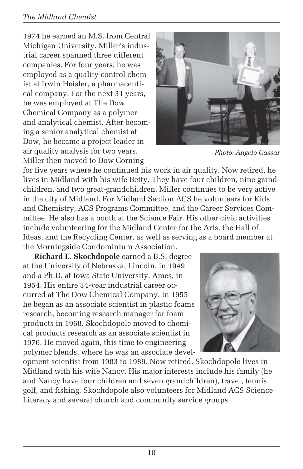#### *The Midland Chemist*

1974 he earned an M.S. from Central Michigan University. Miller's industrial career spanned three different companies. For four years, he was employed as a quality control chemist at Irwin Heisler, a pharmaceutical company. For the next 31 years, he was employed at The Dow Chemical Company as a polymer and analytical chemist. After becoming a senior analytical chemist at Dow, he became a project leader in air quality analysis for two years. Miller then moved to Dow Corning



*Photo: Angelo Cassar*

for five years where he continued his work in air quality. Now retired, he lives in Midland with his wife Betty. They have four children, nine grandchildren, and two great-grandchildren. Miller continues to be very active in the city of Midland. For Midland Section ACS he volunteers for Kids and Chemistry, ACS Programs Committee, and the Career Services Committee. He also has a booth at the Science Fair. His other civic activities include volunteering for the Midland Center for the Arts, the Hall of Ideas, and the Recycling Center, as well as serving as a board member at the Morningside Condominium Association.

**Richard E. Skochdopole** earned a B.S. degree at the University of Nebraska, Lincoln, in 1949 and a Ph.D. at Iowa State University, Ames, in 1954. His entire 34-year industrial career occurred at The Dow Chemical Company. In 1955 he began as an associate scientist in plastic foams research, becoming research manager for foam products in 1968. Skochdopole moved to chemical products research as an associate scientist in 1976. He moved again, this time to engineering polymer blends, where he was an associate devel-



opment scientist from 1983 to 1989. Now retired, Skochdopole lives in Midland with his wife Nancy. His major interests include his family (he and Nancy have four children and seven grandchildren), travel, tennis, golf, and fishing. Skochdopole also volunteers for Midland ACS Science Literacy and several church and community service groups.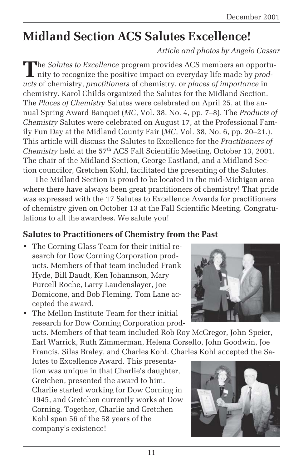# **Midland Section ACS Salutes Excellence!**

*Article and photos by Angelo Cassar*

The *Salutes to Excellence* program provides ACS members an opportunity to recognize the positive impact on everyday life made by *products* of chemistry, *practitioners* of chemistry, or *places of importance* in chemistry. Karol Childs organized the Salutes for the Midland Section. The *Places of Chemistry* Salutes were celebrated on April 25, at the annual Spring Award Banquet (*MC*, Vol. 38, No. 4, pp. 7–8). The *Products of Chemistry* Salutes were celebrated on August 17, at the Professional Family Fun Day at the Midland County Fair (*MC*, Vol. 38, No. 6, pp. 20–21.). This article will discuss the Salutes to Excellence for the *Practitioners of Chemistry* held at the 57<sup>th</sup> ACS Fall Scientific Meeting, October 13, 2001. The chair of the Midland Section, George Eastland, and a Midland Section councilor, Gretchen Kohl, facilitated the presenting of the Salutes.

The Midland Section is proud to be located in the mid-Michigan area where there have always been great practitioners of chemistry! That pride was expressed with the 17 Salutes to Excellence Awards for practitioners of chemistry given on October 13 at the Fall Scientific Meeting. Congratulations to all the awardees. We salute you!

#### **Salutes to Practitioners of Chemistry from the Past**

- The Corning Glass Team for their initial research for Dow Corning Corporation products. Members of that team included Frank Hyde, Bill Daudt, Ken Johannson, Mary Purcell Roche, Larry Laudenslayer, Joe Domicone, and Bob Fleming. Tom Lane accepted the award.
- The Mellon Institute Team for their initial research for Dow Corning Corporation prod-

ucts. Members of that team included Rob Roy McGregor, John Speier, Earl Warrick, Ruth Zimmerman, Helena Corsello, John Goodwin, Joe Francis, Silas Braley, and Charles Kohl. Charles Kohl accepted the Sa-

lutes to Excellence Award. This presentation was unique in that Charlie's daughter, Gretchen, presented the award to him. Charlie started working for Dow Corning in 1945, and Gretchen currently works at Dow Corning. Together, Charlie and Gretchen Kohl span 56 of the 58 years of the company's existence!



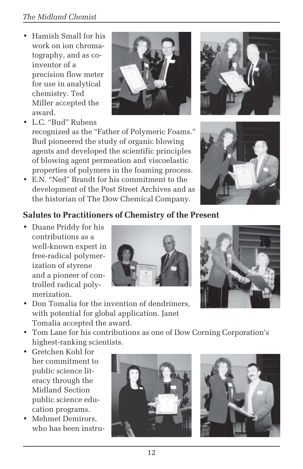- Hamish Small for his work on ion chromatography, and as coinventor of a precision flow meter for use in analytical chemistry. Ted Miller accepted the award.
- L.C. "Bud" Rubens

recognized as the "Father of Polymeric Foams." Bud pioneered the study of organic blowing agents and developed the scientific principles of blowing agent permeation and viscoelastic properties of polymers in the foaming process.

• E.N. "Ned" Brandt for his commitment to the development of the Post Street Archives and as the historian of The Dow Chemical Company.





#### **Salutes to Practitioners of Chemistry of the Present**

• Duane Priddy for his contributions as a well-known expert in free-radical polymerization of styrene and a pioneer of controlled radical polymerization.





- Don Tomalia for the invention of dendrimers, with potential for global application. Janet Tomalia accepted the award.
- Tom Lane for his contributions as one of Dow Corning Corporation's highest-ranking scientists.
- Gretchen Kohl for her commitment to public science literacy through the Midland Section public science education programs.
- Mehmet Demirors, who has been instru-



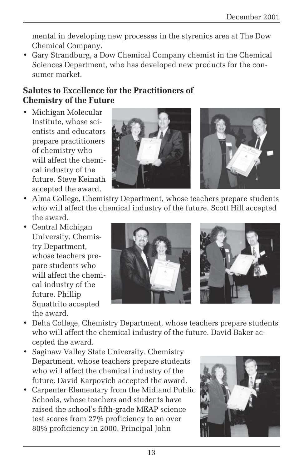mental in developing new processes in the styrenics area at The Dow Chemical Company.

• Gary Strandburg, a Dow Chemical Company chemist in the Chemical Sciences Department, who has developed new products for the consumer market.

#### **Salutes to Excellence for the Practitioners of Chemistry of the Future**

• Michigan Molecular Institute, whose scientists and educators prepare practitioners of chemistry who will affect the chemical industry of the future. Steve Keinath accepted the award.



- Alma College, Chemistry Department, whose teachers prepare students who will affect the chemical industry of the future. Scott Hill accepted the award.
- Central Michigan University, Chemistry Department, whose teachers prepare students who will affect the chemical industry of the future. Phillip Squattrito accepted the award.



- Delta College, Chemistry Department, whose teachers prepare students who will affect the chemical industry of the future. David Baker accepted the award.
- Saginaw Valley State University, Chemistry Department, whose teachers prepare students who will affect the chemical industry of the future. David Karpovich accepted the award.
- Carpenter Elementary from the Midland Public Schools, whose teachers and students have raised the school's fifth-grade MEAP science test scores from 27% proficiency to an over 80% proficiency in 2000. Principal John

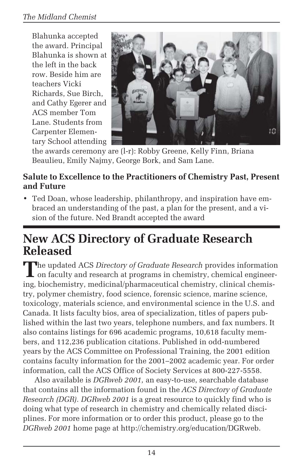Blahunka accepted the award. Principal Blahunka is shown at the left in the back row. Beside him are teachers Vicki Richards, Sue Birch, and Cathy Egerer and ACS member Tom Lane. Students from Carpenter Elementary School attending



the awards ceremony are (l-r): Robby Greene, Kelly Finn, Briana Beaulieu, Emily Najmy, George Bork, and Sam Lane.

#### **Salute to Excellence to the Practitioners of Chemistry Past, Present and Future**

• Ted Doan, whose leadership, philanthropy, and inspiration have embraced an understanding of the past, a plan for the present, and a vision of the future. Ned Brandt accepted the award

### **New ACS Directory of Graduate Research Released**

**T**he updated ACS *Directory of Graduate Research* provides information I on faculty and research at programs in chemistry, chemical engineering, biochemistry, medicinal/pharmaceutical chemistry, clinical chemistry, polymer chemistry, food science, forensic science, marine science, toxicology, materials science, and environmental science in the U.S. and Canada. It lists faculty bios, area of specialization, titles of papers published within the last two years, telephone numbers, and fax numbers. It also contains listings for 696 academic programs, 10,618 faculty members, and 112,236 publication citations. Published in odd-numbered years by the ACS Committee on Professional Training, the 2001 edition contains faculty information for the 2001–2002 academic year. For order information*,* call the ACS Office of Society Services at 800-227-5558.

Also available is *DGRweb 2001,* an easy-to-use, searchable database that contains all the information found in the *ACS Directory of Graduate Research (DGR). DGRweb 2001* is a great resource to quickly find who is doing what type of research in chemistry and chemically related disciplines. For more information or to order this product, please go to the *DGRweb 2001* home page at http://chemistry.org/education/DGRweb.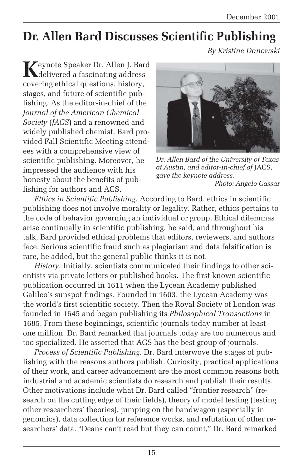# **Dr. Allen Bard Discusses Scientific Publishing**

*By Kristine Danowski*

**K**eynote Speaker Dr. Allen J. Bard delivered a fascinating address covering ethical questions, history, stages, and future of scientific publishing. As the editor-in-chief of the *Journal of the American Chemical Society* (*JACS*) and a renowned and widely published chemist, Bard provided Fall Scientific Meeting attendees with a comprehensive view of scientific publishing. Moreover, he impressed the audience with his honesty about the benefits of publishing for authors and ACS.



*Dr. Allen Bard of the University of Texas at Austin, and editor-in-chief of* JACS*, gave the keynote address. Photo: Angelo Cassar*

*Ethics in Scientific Publishing.* According to Bard, ethics in scientific publishing does not involve morality or legality. Rather, ethics pertains to the code of behavior governing an individual or group. Ethical dilemmas arise continually in scientific publishing, he said, and throughout his talk, Bard provided ethical problems that editors, reviewers, and authors face. Serious scientific fraud such as plagiarism and data falsification is rare, he added, but the general public thinks it is not.

*History.* Initially, scientists communicated their findings to other scientists via private letters or published books. The first known scientific publication occurred in 1611 when the Lycean Academy published Galileo's sunspot findings. Founded in 1603, the Lycean Academy was the world's first scientific society. Then the Royal Society of London was founded in 1645 and began publishing its *Philosophical Transactions* in 1685. From these beginnings, scientific journals today number at least one million. Dr. Bard remarked that journals today are too numerous and too specialized. He asserted that ACS has the best group of journals.

*Process of Scientific Publishing.* Dr. Bard interwove the stages of publishing with the reasons authors publish. Curiosity, practical applications of their work, and career advancement are the most common reasons both industrial and academic scientists do research and publish their results. Other motivations include what Dr. Bard called "frontier research" (research on the cutting edge of their fields), theory of model testing (testing other researchers' theories), jumping on the bandwagon (especially in genomics), data collection for reference works, and refutation of other researchers' data. "Deans can't read but they can count," Dr. Bard remarked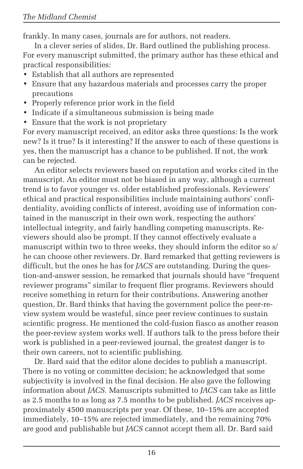frankly. In many cases, journals are for authors, not readers.

In a clever series of slides, Dr. Bard outlined the publishing process. For every manuscript submitted, the primary author has these ethical and practical responsibilities:

- Establish that all authors are represented
- Ensure that any hazardous materials and processes carry the proper precautions
- Properly reference prior work in the field
- Indicate if a simultaneous submission is being made
- Ensure that the work is not proprietary

For every manuscript received, an editor asks three questions: Is the work new? Is it true? Is it interesting? If the answer to each of these questions is yes, then the manuscript has a chance to be published. If not, the work can be rejected.

An editor selects reviewers based on reputation and works cited in the manuscript. An editor must not be biased in any way, although a current trend is to favor younger vs. older established professionals. Reviewers' ethical and practical responsibilities include maintaining authors' confidentiality, avoiding conflicts of interest, avoiding use of information contained in the manuscript in their own work, respecting the authors' intellectual integrity, and fairly handling competing manuscripts. Reviewers should also be prompt. If they cannot effectively evaluate a manuscript within two to three weeks, they should inform the editor so s/ he can choose other reviewers. Dr. Bard remarked that getting reviewers is difficult, but the ones he has for *JACS* are outstanding. During the question-and-answer session, he remarked that journals should have "frequent reviewer programs" similar to frequent flier programs. Reviewers should receive something in return for their contributions. Answering another question, Dr. Bard thinks that having the government police the peer-review system would be wasteful, since peer review continues to sustain scientific progress. He mentioned the cold-fusion fiasco as another reason the peer-review system works well. If authors talk to the press before their work is published in a peer-reviewed journal, the greatest danger is to their own careers, not to scientific publishing.

Dr. Bard said that the editor alone decides to publish a manuscript. There is no voting or committee decision; he acknowledged that some subjectivity is involved in the final decision. He also gave the following information about *JACS.* Manuscripts submitted to *JACS* can take as little as 2.5 months to as long as 7.5 months to be published. *JACS* receives approximately 4500 manuscripts per year. Of these, 10–15% are accepted immediately, 10–15% are rejected immediately, and the remaining 70% are good and publishable but *JACS* cannot accept them all. Dr. Bard said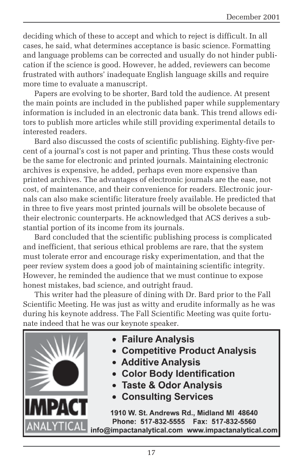deciding which of these to accept and which to reject is difficult. In all cases, he said, what determines acceptance is basic science. Formatting and language problems can be corrected and usually do not hinder publication if the science is good. However, he added, reviewers can become frustrated with authors' inadequate English language skills and require more time to evaluate a manuscript.

Papers are evolving to be shorter, Bard told the audience. At present the main points are included in the published paper while supplementary information is included in an electronic data bank. This trend allows editors to publish more articles while still providing experimental details to interested readers.

Bard also discussed the costs of scientific publishing. Eighty-five percent of a journal's cost is not paper and printing. Thus these costs would be the same for electronic and printed journals. Maintaining electronic archives is expensive, he added, perhaps even more expensive than printed archives. The advantages of electronic journals are the ease, not cost, of maintenance, and their convenience for readers. Electronic journals can also make scientific literature freely available. He predicted that in three to five years most printed journals will be obsolete because of their electronic counterparts. He acknowledged that ACS derives a substantial portion of its income from its journals.

Bard concluded that the scientific publishing process is complicated and inefficient, that serious ethical problems are rare, that the system must tolerate error and encourage risky experimentation, and that the peer review system does a good job of maintaining scientific integrity. However, he reminded the audience that we must continue to expose honest mistakes, bad science, and outright fraud.

This writer had the pleasure of dining with Dr. Bard prior to the Fall Scientific Meeting. He was just as witty and erudite informally as he was during his keynote address. The Fall Scientific Meeting was quite fortunate indeed that he was our keynote speaker.



- Failure Analysis
- Competitive Product Analysis
- Additive Analysis
- Color Body Identification
- Taste & Odor Analysis
- **Consulting Services**

1910 W. St. Andrews Rd., Midland MI 48640 Phone: 517-832-5555 Fax: 517-832-5560 info@impactanalytical.com www.impactanalytical.com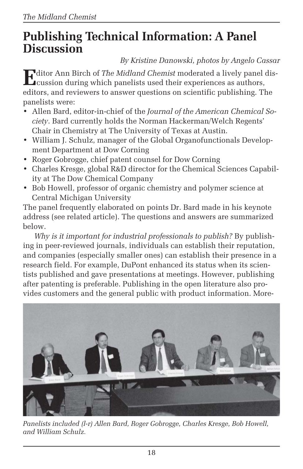### **Publishing Technical Information: A Panel Discussion**

*By Kristine Danowski, photos by Angelo Cassar*

**E**ditor Ann Birch of *The Midland Chemist* moderated a lively panel discussion during which panelists used their experiences as authors, editors, and reviewers to answer questions on scientific publishing. The panelists were:

- Allen Bard, editor-in-chief of the *Journal of the American Chemical Society*. Bard currently holds the Norman Hackerman/Welch Regents' Chair in Chemistry at The University of Texas at Austin.
- William J. Schulz, manager of the Global Organofunctionals Development Department at Dow Corning
- Roger Gobrogge, chief patent counsel for Dow Corning
- Charles Kresge, global R&D director for the Chemical Sciences Capability at The Dow Chemical Company
- Bob Howell, professor of organic chemistry and polymer science at Central Michigan University

The panel frequently elaborated on points Dr. Bard made in his keynote address (see related article). The questions and answers are summarized below.

*Why is it important for industrial professionals to publish?* By publishing in peer-reviewed journals, individuals can establish their reputation, and companies (especially smaller ones) can establish their presence in a research field. For example, DuPont enhanced its status when its scientists published and gave presentations at meetings. However, publishing after patenting is preferable. Publishing in the open literature also provides customers and the general public with product information. More-



*Panelists included (l-r) Allen Bard, Roger Gobrogge, Charles Kresge, Bob Howell, and William Schulz.*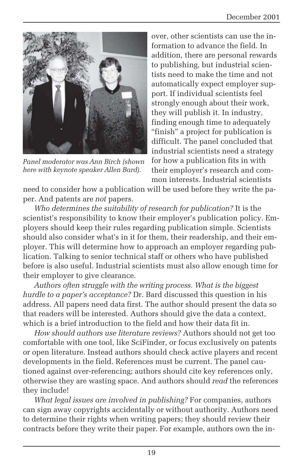

*Panel moderator was Ann Birch (shown here with keynote speaker Allen Bard).*

over, other scientists can use the information to advance the field. In addition, there are personal rewards to publishing, but industrial scientists need to make the time and not automatically expect employer support. If individual scientists feel strongly enough about their work, they will publish it. In industry, finding enough time to adequately "finish" a project for publication is difficult. The panel concluded that industrial scientists need a strategy for how a publication fits in with their employer's research and common interests. Industrial scientists

need to consider how a publication will be used before they write the paper. And patents are *not* papers.

*Who determines the suitability of research for publication?* It is the scientist's responsibility to know their employer's publication policy. Employers should keep their rules regarding publication simple. Scientists should also consider what's in it for them, their readership, and their employer. This will determine how to approach an employer regarding publication. Talking to senior technical staff or others who have published before is also useful. Industrial scientists must also allow enough time for their employer to give clearance.

*Authors often struggle with the writing process. What is the biggest hurdle to a paper's acceptance?* Dr. Bard discussed this question in his address. All papers need data first. The author should present the data so that readers will be interested. Authors should give the data a context, which is a brief introduction to the field and how their data fit in.

*How should authors use literature reviews?* Authors should not get too comfortable with one tool, like SciFinder, or focus exclusively on patents or open literature. Instead authors should check active players and recent developments in the field. References must be current. The panel cautioned against over-referencing; authors should cite key references only, otherwise they are wasting space. And authors should *read* the references they include!

*What legal issues are involved in publishing?* For companies, authors can sign away copyrights accidentally or without authority. Authors need to determine their rights when writing papers; they should review their contracts before they write their paper. For example, authors own the in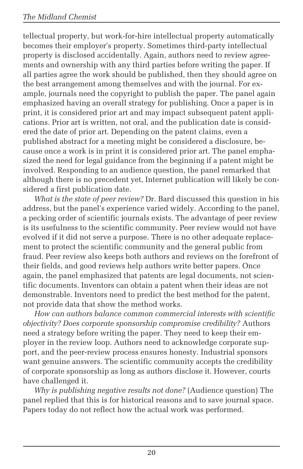tellectual property, but work-for-hire intellectual property automatically becomes their employer's property. Sometimes third-party intellectual property is disclosed accidentally. Again, authors need to review agreements and ownership with any third parties before writing the paper. If all parties agree the work should be published, then they should agree on the best arrangement among themselves and with the journal. For example, journals need the copyright to publish the paper. The panel again emphasized having an overall strategy for publishing. Once a paper is in print, it is considered prior art and may impact subsequent patent applications. Prior art is written, not oral, and the publication date is considered the date of prior art. Depending on the patent claims, even a published abstract for a meeting might be considered a disclosure, because once a work is in print it is considered prior art. The panel emphasized the need for legal guidance from the beginning if a patent might be involved. Responding to an audience question, the panel remarked that although there is no precedent yet, Internet publication will likely be considered a first publication date.

*What is the state of peer review?* Dr. Bard discussed this question in his address, but the panel's experience varied widely. According to the panel, a pecking order of scientific journals exists. The advantage of peer review is its usefulness to the scientific community. Peer review would not have evolved if it did not serve a purpose. There is no other adequate replacement to protect the scientific community and the general public from fraud. Peer review also keeps both authors and reviews on the forefront of their fields, and good reviews help authors write better papers. Once again, the panel emphasized that patents are legal documents, not scientific documents. Inventors can obtain a patent when their ideas are not demonstrable. Inventors need to predict the best method for the patent, not provide data that show the method works.

*How can authors balance common commercial interests with scientific objectivity? Does corporate sponsorship compromise credibility?* Authors need a strategy before writing the paper. They need to keep their employer in the review loop. Authors need to acknowledge corporate support, and the peer-review process ensures honesty. Industrial sponsors want genuine answers. The scientific community accepts the credibility of corporate sponsorship as long as authors disclose it. However, courts have challenged it.

*Why is publishing negative results not done?* (Audience question) The panel replied that this is for historical reasons and to save journal space. Papers today do not reflect how the actual work was performed.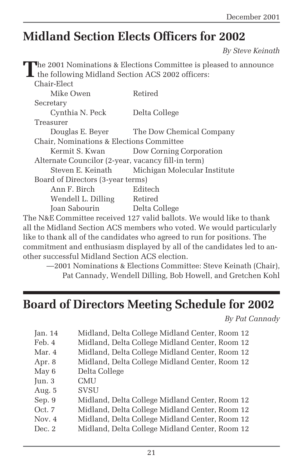### **Midland Section Elects Officers for 2002**

*By Steve Keinath*

|                                                                                                                                                                                                                                        | The 2001 Nominations & Elections Committee is pleased to announce |
|----------------------------------------------------------------------------------------------------------------------------------------------------------------------------------------------------------------------------------------|-------------------------------------------------------------------|
| the following Midland Section ACS 2002 officers:                                                                                                                                                                                       |                                                                   |
| Chair-Elect                                                                                                                                                                                                                            |                                                                   |
| Mike Owen                                                                                                                                                                                                                              | Retired                                                           |
| Secretary                                                                                                                                                                                                                              |                                                                   |
| Cynthia N. Peck                                                                                                                                                                                                                        | Delta College                                                     |
| Treasurer                                                                                                                                                                                                                              |                                                                   |
|                                                                                                                                                                                                                                        | Douglas E. Beyer The Dow Chemical Company                         |
| Chair, Nominations & Elections Committee                                                                                                                                                                                               |                                                                   |
| Kermit S. Kwan                                                                                                                                                                                                                         | Dow Corning Corporation                                           |
| Alternate Councilor (2-year, vacancy fill-in term)                                                                                                                                                                                     |                                                                   |
| Steven E. Keinath                                                                                                                                                                                                                      | Michigan Molecular Institute                                      |
| Board of Directors (3-year terms)                                                                                                                                                                                                      |                                                                   |
| Ann F. Birch                                                                                                                                                                                                                           | Editech                                                           |
| Wendell L. Dilling Retired                                                                                                                                                                                                             |                                                                   |
| Joan Sabourin Delta College                                                                                                                                                                                                            |                                                                   |
| $\mathbb{R}^{1}$ ato $\mathbb{R}^{1}$ . The set of the set of the set of the set of the set of the set of the set of the set of the set of the set of the set of the set of the set of the set of the set of the set of the set of the | ו והיוונו                                                         |

The N&E Committee received 127 valid ballots. We would like to thank all the Midland Section ACS members who voted. We would particularly like to thank all of the candidates who agreed to run for positions. The commitment and enthusiasm displayed by all of the candidates led to another successful Midland Section ACS election.

—2001 Nominations & Elections Committee: Steve Keinath (Chair), Pat Cannady, Wendell Dilling, Bob Howell, and Gretchen Kohl

### **Board of Directors Meeting Schedule for 2002**

*By Pat Cannady*

| Jan. $14$ | Midland, Delta College Midland Center, Room 12 |
|-----------|------------------------------------------------|
| Feb. 4    | Midland, Delta College Midland Center, Room 12 |
| Mar. 4    | Midland, Delta College Midland Center, Room 12 |
| Apr. 8    | Midland, Delta College Midland Center, Room 12 |
| May 6     | Delta College                                  |
| Jun. 3    | CMU                                            |
| Aug. 5    | <b>SVSU</b>                                    |
| Sep. 9    | Midland, Delta College Midland Center, Room 12 |
| Oct. 7    | Midland, Delta College Midland Center, Room 12 |
| Nov. $4$  | Midland, Delta College Midland Center, Room 12 |
| Dec. 2    | Midland, Delta College Midland Center, Room 12 |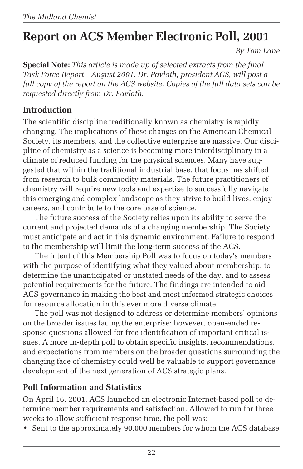# **Report on ACS Member Electronic Poll, 2001**

*By Tom Lane*

**Special Note:** *This article is made up of selected extracts from the final Task Force Report—August 2001. Dr. Pavlath, president ACS, will post a full copy of the report on the ACS website. Copies of the full data sets can be requested directly from Dr. Pavlath.*

#### **Introduction**

The scientific discipline traditionally known as chemistry is rapidly changing. The implications of these changes on the American Chemical Society, its members, and the collective enterprise are massive. Our discipline of chemistry as a science is becoming more interdisciplinary in a climate of reduced funding for the physical sciences. Many have suggested that within the traditional industrial base, that focus has shifted from research to bulk commodity materials. The future practitioners of chemistry will require new tools and expertise to successfully navigate this emerging and complex landscape as they strive to build lives, enjoy careers, and contribute to the core base of science.

The future success of the Society relies upon its ability to serve the current and projected demands of a changing membership. The Society must anticipate and act in this dynamic environment. Failure to respond to the membership will limit the long-term success of the ACS.

The intent of this Membership Poll was to focus on today's members with the purpose of identifying what they valued about membership, to determine the unanticipated or unstated needs of the day, and to assess potential requirements for the future. The findings are intended to aid ACS governance in making the best and most informed strategic choices for resource allocation in this ever more diverse climate.

The poll was not designed to address or determine members' opinions on the broader issues facing the enterprise; however, open-ended response questions allowed for free identification of important critical issues. A more in-depth poll to obtain specific insights, recommendations, and expectations from members on the broader questions surrounding the changing face of chemistry could well be valuable to support governance development of the next generation of ACS strategic plans.

#### **Poll Information and Statistics**

On April 16, 2001, ACS launched an electronic Internet-based poll to determine member requirements and satisfaction. Allowed to run for three weeks to allow sufficient response time, the poll was:

• Sent to the approximately 90,000 members for whom the ACS database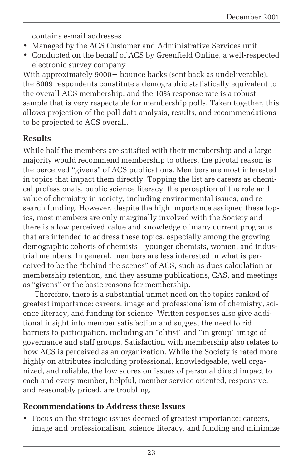contains e-mail addresses

- Managed by the ACS Customer and Administrative Services unit
- Conducted on the behalf of ACS by Greenfield Online, a well-respected electronic survey company

With approximately 9000+ bounce backs (sent back as undeliverable), the 8009 respondents constitute a demographic statistically equivalent to the overall ACS membership, and the 10% response rate is a robust sample that is very respectable for membership polls. Taken together, this allows projection of the poll data analysis, results, and recommendations to be projected to ACS overall.

#### **Results**

While half the members are satisfied with their membership and a large majority would recommend membership to others, the pivotal reason is the perceived "givens" of ACS publications. Members are most interested in topics that impact them directly. Topping the list are careers as chemical professionals, public science literacy, the perception of the role and value of chemistry in society, including environmental issues, and research funding. However, despite the high importance assigned these topics, most members are only marginally involved with the Society and there is a low perceived value and knowledge of many current programs that are intended to address these topics, especially among the growing demographic cohorts of chemists—younger chemists, women, and industrial members. In general, members are less interested in what is perceived to be the "behind the scenes" of ACS, such as dues calculation or membership retention, and they assume publications, CAS, and meetings as "givens" or the basic reasons for membership.

Therefore, there is a substantial unmet need on the topics ranked of greatest importance: careers, image and professionalism of chemistry, science literacy, and funding for science. Written responses also give additional insight into member satisfaction and suggest the need to rid barriers to participation, including an "elitist" and "in group" image of governance and staff groups. Satisfaction with membership also relates to how ACS is perceived as an organization. While the Society is rated more highly on attributes including professional, knowledgeable, well organized, and reliable, the low scores on issues of personal direct impact to each and every member, helpful, member service oriented, responsive, and reasonably priced, are troubling.

#### **Recommendations to Address these Issues**

• Focus on the strategic issues deemed of greatest importance: careers, image and professionalism, science literacy, and funding and minimize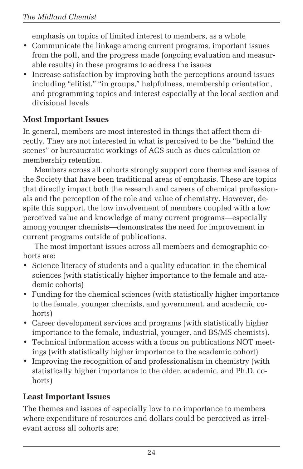emphasis on topics of limited interest to members, as a whole

- Communicate the linkage among current programs, important issues from the poll, and the progress made (ongoing evaluation and measurable results) in these programs to address the issues
- Increase satisfaction by improving both the perceptions around issues including "elitist," "in groups," helpfulness, membership orientation, and programming topics and interest especially at the local section and divisional levels

#### **Most Important Issues**

In general, members are most interested in things that affect them directly. They are not interested in what is perceived to be the "behind the scenes" or bureaucratic workings of ACS such as dues calculation or membership retention.

Members across all cohorts strongly support core themes and issues of the Society that have been traditional areas of emphasis. These are topics that directly impact both the research and careers of chemical professionals and the perception of the role and value of chemistry. However, despite this support, the low involvement of members coupled with a low perceived value and knowledge of many current programs—especially among younger chemists—demonstrates the need for improvement in current programs outside of publications.

The most important issues across all members and demographic cohorts are:

- Science literacy of students and a quality education in the chemical sciences (with statistically higher importance to the female and academic cohorts)
- Funding for the chemical sciences (with statistically higher importance to the female, younger chemists, and government, and academic cohorts)
- Career development services and programs (with statistically higher importance to the female, industrial, younger, and BS/MS chemists).
- Technical information access with a focus on publications NOT meetings (with statistically higher importance to the academic cohort)
- Improving the recognition of and professionalism in chemistry (with statistically higher importance to the older, academic, and Ph.D. cohorts)

#### **Least Important Issues**

The themes and issues of especially low to no importance to members where expenditure of resources and dollars could be perceived as irrelevant across all cohorts are: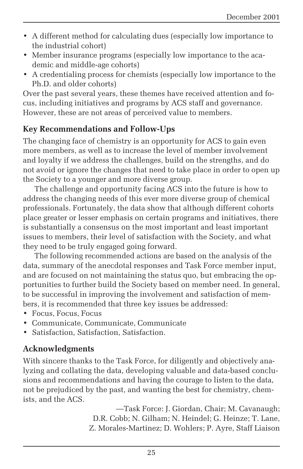- A different method for calculating dues (especially low importance to the industrial cohort)
- Member insurance programs (especially low importance to the academic and middle-age cohorts)
- A credentialing process for chemists (especially low importance to the Ph.D. and older cohorts)

Over the past several years, these themes have received attention and focus, including initiatives and programs by ACS staff and governance. However, these are not areas of perceived value to members.

#### **Key Recommendations and Follow-Ups**

The changing face of chemistry is an opportunity for ACS to gain even more members, as well as to increase the level of member involvement and loyalty if we address the challenges, build on the strengths, and do not avoid or ignore the changes that need to take place in order to open up the Society to a younger and more diverse group.

The challenge and opportunity facing ACS into the future is how to address the changing needs of this ever more diverse group of chemical professionals. Fortunately, the data show that although different cohorts place greater or lesser emphasis on certain programs and initiatives, there is substantially a consensus on the most important and least important issues to members, their level of satisfaction with the Society, and what they need to be truly engaged going forward.

The following recommended actions are based on the analysis of the data, summary of the anecdotal responses and Task Force member input, and are focused on not maintaining the status quo, but embracing the opportunities to further build the Society based on member need. In general, to be successful in improving the involvement and satisfaction of members, it is recommended that three key issues be addressed:

- Focus, Focus, Focus
- Communicate, Communicate, Communicate
- Satisfaction, Satisfaction, Satisfaction.

#### **Acknowledgments**

With sincere thanks to the Task Force, for diligently and objectively analyzing and collating the data, developing valuable and data-based conclusions and recommendations and having the courage to listen to the data, not be prejudiced by the past, and wanting the best for chemistry, chemists, and the ACS.

> —Task Force: J. Giordan, Chair; M. Cavanaugh; D.R. Cobb; N. Gilham; N. Heindel; G. Heinze; T. Lane, Z. Morales-Martinez; D. Wohlers; P. Ayre, Staff Liaison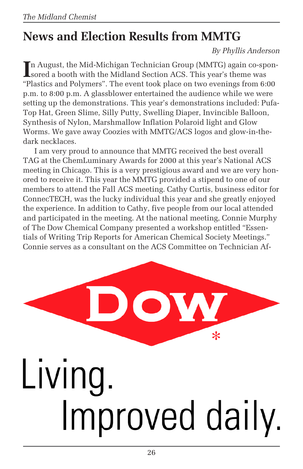# **News and Election Results from MMTG**

*By Phyllis Anderson*

In August, the Mid-Michigan Technician Group (MMTG) again co-spon-<br>sored a booth with the Midland Section ACS. This year's theme was sored a booth with the Midland Section ACS. This year's theme was "Plastics and Polymers". The event took place on two evenings from 6:00 p.m. to 8:00 p.m. A glassblower entertained the audience while we were setting up the demonstrations. This year's demonstrations included: Pufa-Top Hat, Green Slime, Silly Putty, Swelling Diaper, Invincible Balloon, Synthesis of Nylon, Marshmallow Inflation Polaroid light and Glow Worms. We gave away Coozies with MMTG/ACS logos and glow-in-thedark necklaces.

I am very proud to announce that MMTG received the best overall TAG at the ChemLuminary Awards for 2000 at this year's National ACS meeting in Chicago. This is a very prestigious award and we are very honored to receive it. This year the MMTG provided a stipend to one of our members to attend the Fall ACS meeting. Cathy Curtis, business editor for ConnecTECH, was the lucky individual this year and she greatly enjoyed the experience. In addition to Cathy, five people from our local attended and participated in the meeting. At the national meeting, Connie Murphy of The Dow Chemical Company presented a workshop entitled "Essentials of Writing Trip Reports for American Chemical Society Meetings." Connie serves as a consultant on the ACS Committee on Technician Af-

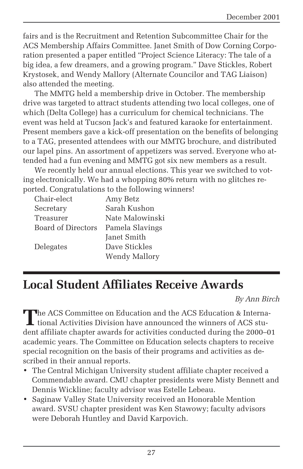fairs and is the Recruitment and Retention Subcommittee Chair for the ACS Membership Affairs Committee. Janet Smith of Dow Corning Corporation presented a paper entitled "Project Science Literacy: The tale of a big idea, a few dreamers, and a growing program." Dave Stickles, Robert Krystosek, and Wendy Mallory (Alternate Councilor and TAG Liaison) also attended the meeting.

The MMTG held a membership drive in October. The membership drive was targeted to attract students attending two local colleges, one of which (Delta College) has a curriculum for chemical technicians. The event was held at Tucson Jack's and featured karaoke for entertainment. Present members gave a kick-off presentation on the benefits of belonging to a TAG, presented attendees with our MMTG brochure, and distributed our lapel pins. An assortment of appetizers was served. Everyone who attended had a fun evening and MMTG got six new members as a result.

We recently held our annual elections. This year we switched to voting electronically. We had a whopping 80% return with no glitches reported. Congratulations to the following winners!

| Chair-elect        | Amy Betz             |
|--------------------|----------------------|
| Secretary          | Sarah Kushon         |
| Treasurer          | Nate Malowinski      |
| Board of Directors | Pamela Slavings      |
|                    | Janet Smith          |
| Delegates          | Dave Stickles        |
|                    | <b>Wendy Mallory</b> |

### **Local Student Affiliates Receive Awards**

*By Ann Birch*

**T**he ACS Committee on Education and the ACS Education & Interna-**L** tional Activities Division have announced the winners of ACS student affiliate chapter awards for activities conducted during the 2000–01 academic years. The Committee on Education selects chapters to receive special recognition on the basis of their programs and activities as described in their annual reports.

- The Central Michigan University student affiliate chapter received a Commendable award. CMU chapter presidents were Misty Bennett and Dennis Wickline; faculty advisor was Estelle Lebeau.
- Saginaw Valley State University received an Honorable Mention award. SVSU chapter president was Ken Stawowy; faculty advisors were Deborah Huntley and David Karpovich.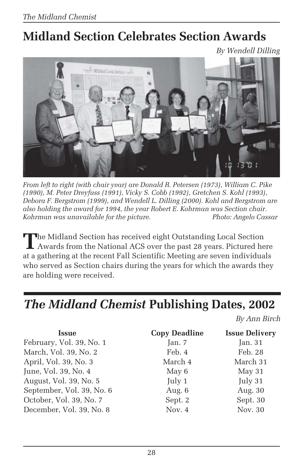# **Midland Section Celebrates Section Awards**

*By Wendell Dilling*



*From left to right (with chair year) are Donald R. Petersen (1973), William C. Pike (1990), M. Peter Dreyfuss (1991), Vicky S. Cobb (1992), Gretchen S. Kohl (1993), Debora F. Bergstrom (1999), and Wendell L. Dilling (2000). Kohl and Bergstrom are also holding the award for 1994, the year Robert E. Kohrman was Section chair. Kohrman was unavailable for the picture.* 

The Midland Section has received eight Outstanding Local Section<br>Awards from the National ACS over the past 28 years. Pictured here at a gathering at the recent Fall Scientific Meeting are seven individuals who served as Section chairs during the years for which the awards they are holding were received.

### *The Midland Chemist* **Publishing Dates, 2002**

*By Ann Birch*

| <b>Copy Deadline</b> | <b>Issue Delivery</b> |
|----------------------|-----------------------|
| Jan. 7               | Jan. 31               |
| Feb. 4               | Feb. 28               |
| March 4              | March 31              |
| May 6                | May 31                |
| July 1               | July 31               |
| Aug. 6               | Aug. 30               |
| Sept. 2              | Sept. 30              |
| Nov. 4               | Nov. 30               |
|                      |                       |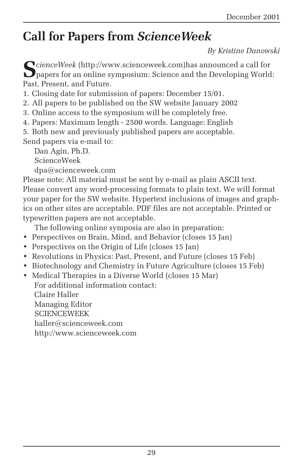# **Call for Papers from** *ScienceWeek*

*By Kristine Danowski*

 $\sum$ *cienceWeek* (http://www.scienceweek.com)has announced a call for papers for an online symposium: Science and the Developing World: Past, Present, and Future.

1. Closing date for submission of papers: December 15/01.

2. All papers to be published on the SW website January 2002

3. Online access to the symposium will be completely free.

4. Papers: Maximum length - 2500 words. Language: English

5. Both new and previously published papers are acceptable.

Send papers via e-mail to:

Dan Agin, Ph.D.

ScienceWeek

dpa@scienceweek.com

Please note: All material must be sent by e-mail as plain ASCII text. Please convert any word-processing formats to plain text. We will format your paper for the SW website. Hypertext inclusions of images and graphics on other sites are acceptable. PDF files are not acceptable. Printed or typewritten papers are not acceptable.

The following online symposia are also in preparation:

- Perspectives on Brain, Mind, and Behavior (closes 15 Jan)
- Perspectives on the Origin of Life (closes 15 Jan)
- Revolutions in Physics: Past, Present, and Future (closes 15 Feb)
- Biotechnology and Chemistry in Future Agriculture (closes 15 Feb)
- Medical Therapies in a Diverse World (closes 15 Mar) For additional information contact: Claire Haller Managing Editor **SCIENCEWEEK** haller@scienceweek.com http://www.scienceweek.com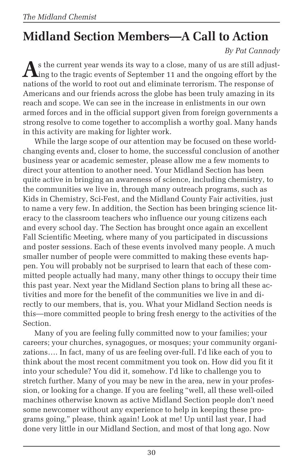# **Midland Section Members—A Call to Action**

*By Pat Cannady*

**A**s the current year wends its way to a close, many of us are still adjusting to the tragic events of September 11 and the ongoing effort by the nations of the world to root out and eliminate terrorism. The response of Americans and our friends across the globe has been truly amazing in its reach and scope. We can see in the increase in enlistments in our own armed forces and in the official support given from foreign governments a strong resolve to come together to accomplish a worthy goal. Many hands in this activity are making for lighter work.

While the large scope of our attention may be focused on these worldchanging events and, closer to home, the successful conclusion of another business year or academic semester, please allow me a few moments to direct your attention to another need. Your Midland Section has been quite active in bringing an awareness of science, including chemistry, to the communities we live in, through many outreach programs, such as Kids in Chemistry, Sci-Fest, and the Midland County Fair activities, just to name a very few. In addition, the Section has been bringing science literacy to the classroom teachers who influence our young citizens each and every school day. The Section has brought once again an excellent Fall Scientific Meeting, where many of you participated in discussions and poster sessions. Each of these events involved many people. A much smaller number of people were committed to making these events happen. You will probably not be surprised to learn that each of these committed people actually had many, many other things to occupy their time this past year. Next year the Midland Section plans to bring all these activities and more for the benefit of the communities we live in and directly to our members, that is, you. What your Midland Section needs is this—more committed people to bring fresh energy to the activities of the Section.

Many of you are feeling fully committed now to your families; your careers; your churches, synagogues, or mosques; your community organizations…. In fact, many of us are feeling over-full. I'd like each of you to think about the most recent commitment you took on. How did you fit it into your schedule? You did it, somehow. I'd like to challenge you to stretch further. Many of you may be new in the area, new in your profession, or looking for a change. If you are feeling "well, all these well-oiled machines otherwise known as active Midland Section people don't need some newcomer without any experience to help in keeping these programs going," please, think again! Look at me! Up until last year, I had done very little in our Midland Section, and most of that long ago. Now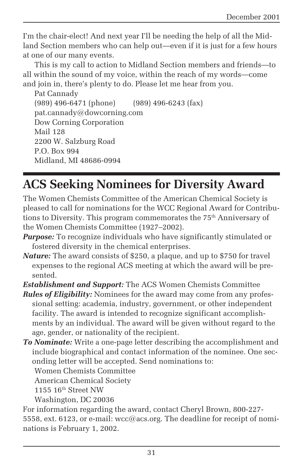I'm the chair-elect! And next year I'll be needing the help of all the Midland Section members who can help out—even if it is just for a few hours at one of our many events.

This is my call to action to Midland Section members and friends—to all within the sound of my voice, within the reach of my words—come and join in, there's plenty to do. Please let me hear from you.

```
Pat Cannady
(989) 496-6471 (phone) (989) 496-6243 (fax)
pat.cannady@dowcorning.com
Dow Corning Corporation
Mail 128
2200 W. Salzburg Road
P.O. Box 994
Midland, MI 48686-0994
```
# **ACS Seeking Nominees for Diversity Award**

The Women Chemists Committee of the American Chemical Society is pleased to call for nominations for the WCC Regional Award for Contributions to Diversity. This program commemorates the 75<sup>th</sup> Anniversary of the Women Chemists Committee (1927–2002).

- *Purpose:* To recognize individuals who have significantly stimulated or fostered diversity in the chemical enterprises.
- *Nature:* The award consists of \$250, a plaque, and up to \$750 for travel expenses to the regional ACS meeting at which the award will be presented.
- *Establishment and Support:* The ACS Women Chemists Committee
- *Rules of Eligibility:* Nominees for the award may come from any professional setting: academia, industry, government, or other independent facility. The award is intended to recognize significant accomplishments by an individual. The award will be given without regard to the age, gender, or nationality of the recipient.
- *To Nominate:* Write a one-page letter describing the accomplishment and include biographical and contact information of the nominee. One seconding letter will be accepted. Send nominations to:

Women Chemists Committee

American Chemical Society

1155  $16<sup>th</sup> Street NW$ 

Washington, DC 20036

For information regarding the award, contact Cheryl Brown, 800-227- 5558, ext. 6123, or e-mail: wcc@acs.org. The deadline for receipt of nominations is February 1, 2002.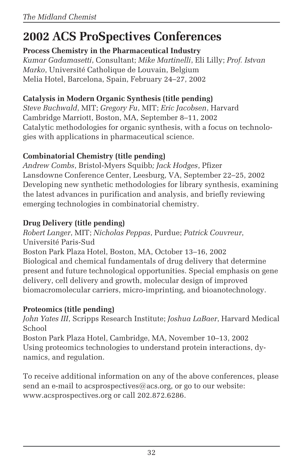# **2002 ACS ProSpectives Conferences**

**Process Chemistry in the Pharmaceutical Industry**

*Kumar Gadamasetti*, Consultant; *Mike Martinelli*, Eli Lilly; *Prof. Istvan Marko*, Université Catholique de Louvain, Belgium Melia Hotel, Barcelona, Spain, February 24–27, 2002

#### **Catalysis in Modern Organic Synthesis (title pending)**

*Steve Buchwald*, MIT; *Gregory Fu*, MIT; *Eric Jacobsen*, Harvard Cambridge Marriott, Boston, MA, September 8–11, 2002 Catalytic methodologies for organic synthesis, with a focus on technologies with applications in pharmaceutical science.

#### **Combinatorial Chemistry (title pending)**

*Andrew Combs*, Bristol-Myers Squibb*; Jack Hodges*, Pfizer Lansdowne Conference Center, Leesburg, VA, September 22–25, 2002 Developing new synthetic methodologies for library synthesis, examining the latest advances in purification and analysis, and briefly reviewing emerging technologies in combinatorial chemistry.

#### **Drug Delivery (title pending)**

*Robert Langer*, MIT; *Nicholas Peppas*, Purdue; *Patrick Couvreur*, Université Paris-Sud

Boston Park Plaza Hotel, Boston, MA, October 13–16, 2002 Biological and chemical fundamentals of drug delivery that determine present and future technological opportunities. Special emphasis on gene delivery, cell delivery and growth, molecular design of improved biomacromolecular carriers, micro-imprinting, and bioanotechnology.

#### **Proteomics (title pending)**

*John Yates III*, Scripps Research Institute; *Joshua LaBaer*, Harvard Medical School

Boston Park Plaza Hotel, Cambridge, MA, November 10–13, 2002 Using proteomics technologies to understand protein interactions, dynamics, and regulation.

To receive additional information on any of the above conferences, please send an e-mail to acsprospectives@acs.org, or go to our website: www.acsprospectives.org or call 202.872.6286.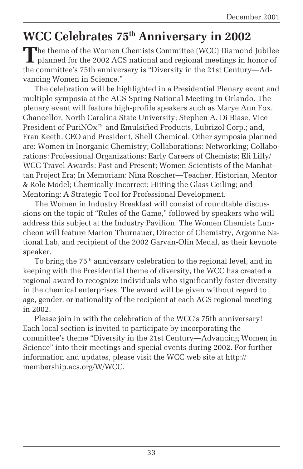### **WCC Celebrates 75th Anniversary in 2002**

**T**he theme of the Women Chemists Committee (WCC) Diamond Jubilee **L** planned for the 2002 ACS national and regional meetings in honor of the committee's 75th anniversary is "Diversity in the 21st Century—Advancing Women in Science."

The celebration will be highlighted in a Presidential Plenary event and multiple symposia at the ACS Spring National Meeting in Orlando. The plenary event will feature high-profile speakers such as Marye Ann Fox, Chancellor, North Carolina State University; Stephen A. Di Biase, Vice President of PuriNOx<sup>™</sup> and Emulsified Products, Lubrizol Corp.; and, Fran Keeth, CEO and President, Shell Chemical. Other symposia planned are: Women in Inorganic Chemistry; Collaborations: Networking; Collaborations: Professional Organizations; Early Careers of Chemists; Eli Lilly/ WCC Travel Awards: Past and Present; Women Scientists of the Manhattan Project Era; In Memoriam: Nina Roscher—Teacher, Historian, Mentor & Role Model; Chemically Incorrect: Hitting the Glass Ceiling; and Mentoring: A Strategic Tool for Professional Development.

The Women in Industry Breakfast will consist of roundtable discussions on the topic of "Rules of the Game," followed by speakers who will address this subject at the Industry Pavilion. The Women Chemists Luncheon will feature Marion Thurnauer, Director of Chemistry, Argonne National Lab, and recipient of the 2002 Garvan-Olin Medal, as their keynote speaker.

To bring the 75<sup>th</sup> anniversary celebration to the regional level, and in keeping with the Presidential theme of diversity, the WCC has created a regional award to recognize individuals who significantly foster diversity in the chemical enterprises. The award will be given without regard to age, gender, or nationality of the recipient at each ACS regional meeting in 2002.

Please join in with the celebration of the WCC's 75th anniversary! Each local section is invited to participate by incorporating the committee's theme "Diversity in the 21st Century—Advancing Women in Science" into their meetings and special events during 2002. For further information and updates, please visit the WCC web site at http:// membership.acs.org/W/WCC.